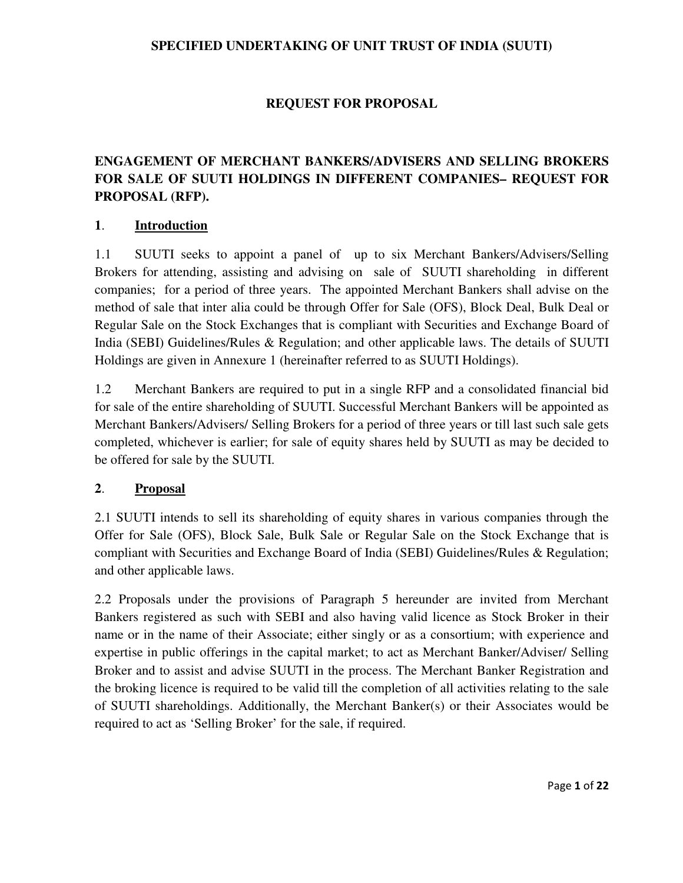### **SPECIFIED UNDERTAKING OF UNIT TRUST OF INDIA (SUUTI)**

## **REQUEST FOR PROPOSAL**

# **ENGAGEMENT OF MERCHANT BANKERS/ADVISERS AND SELLING BROKERS FOR SALE OF SUUTI HOLDINGS IN DIFFERENT COMPANIES– REQUEST FOR PROPOSAL (RFP).**

#### **1**. **Introduction**

1.1 SUUTI seeks to appoint a panel of up to six Merchant Bankers/Advisers/Selling Brokers for attending, assisting and advising on sale of SUUTI shareholding in different companies; for a period of three years. The appointed Merchant Bankers shall advise on the method of sale that inter alia could be through Offer for Sale (OFS), Block Deal, Bulk Deal or Regular Sale on the Stock Exchanges that is compliant with Securities and Exchange Board of India (SEBI) Guidelines/Rules & Regulation; and other applicable laws. The details of SUUTI Holdings are given in Annexure 1 (hereinafter referred to as SUUTI Holdings).

1.2 Merchant Bankers are required to put in a single RFP and a consolidated financial bid for sale of the entire shareholding of SUUTI. Successful Merchant Bankers will be appointed as Merchant Bankers/Advisers/ Selling Brokers for a period of three years or till last such sale gets completed, whichever is earlier; for sale of equity shares held by SUUTI as may be decided to be offered for sale by the SUUTI.

#### **2**. **Proposal**

2.1 SUUTI intends to sell its shareholding of equity shares in various companies through the Offer for Sale (OFS), Block Sale, Bulk Sale or Regular Sale on the Stock Exchange that is compliant with Securities and Exchange Board of India (SEBI) Guidelines/Rules & Regulation; and other applicable laws.

2.2 Proposals under the provisions of Paragraph 5 hereunder are invited from Merchant Bankers registered as such with SEBI and also having valid licence as Stock Broker in their name or in the name of their Associate; either singly or as a consortium; with experience and expertise in public offerings in the capital market; to act as Merchant Banker/Adviser/ Selling Broker and to assist and advise SUUTI in the process. The Merchant Banker Registration and the broking licence is required to be valid till the completion of all activities relating to the sale of SUUTI shareholdings. Additionally, the Merchant Banker(s) or their Associates would be required to act as 'Selling Broker' for the sale, if required.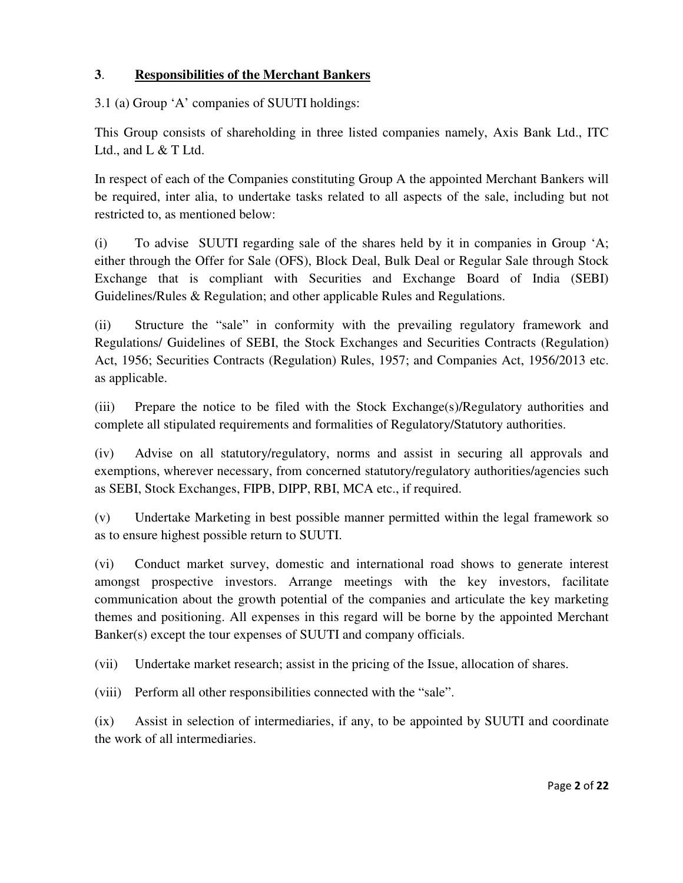## **3**. **Responsibilities of the Merchant Bankers**

3.1 (a) Group 'A' companies of SUUTI holdings:

This Group consists of shareholding in three listed companies namely, Axis Bank Ltd., ITC Ltd., and L & T Ltd.

In respect of each of the Companies constituting Group A the appointed Merchant Bankers will be required, inter alia, to undertake tasks related to all aspects of the sale, including but not restricted to, as mentioned below:

(i) To advise SUUTI regarding sale of the shares held by it in companies in Group 'A; either through the Offer for Sale (OFS), Block Deal, Bulk Deal or Regular Sale through Stock Exchange that is compliant with Securities and Exchange Board of India (SEBI) Guidelines/Rules & Regulation; and other applicable Rules and Regulations.

(ii) Structure the "sale" in conformity with the prevailing regulatory framework and Regulations/ Guidelines of SEBI, the Stock Exchanges and Securities Contracts (Regulation) Act, 1956; Securities Contracts (Regulation) Rules, 1957; and Companies Act, 1956/2013 etc. as applicable.

(iii) Prepare the notice to be filed with the Stock Exchange(s)/Regulatory authorities and complete all stipulated requirements and formalities of Regulatory/Statutory authorities.

(iv) Advise on all statutory/regulatory, norms and assist in securing all approvals and exemptions, wherever necessary, from concerned statutory/regulatory authorities/agencies such as SEBI, Stock Exchanges, FIPB, DIPP, RBI, MCA etc., if required.

(v) Undertake Marketing in best possible manner permitted within the legal framework so as to ensure highest possible return to SUUTI.

(vi) Conduct market survey, domestic and international road shows to generate interest amongst prospective investors. Arrange meetings with the key investors, facilitate communication about the growth potential of the companies and articulate the key marketing themes and positioning. All expenses in this regard will be borne by the appointed Merchant Banker(s) except the tour expenses of SUUTI and company officials.

(vii) Undertake market research; assist in the pricing of the Issue, allocation of shares.

(viii) Perform all other responsibilities connected with the "sale".

(ix) Assist in selection of intermediaries, if any, to be appointed by SUUTI and coordinate the work of all intermediaries.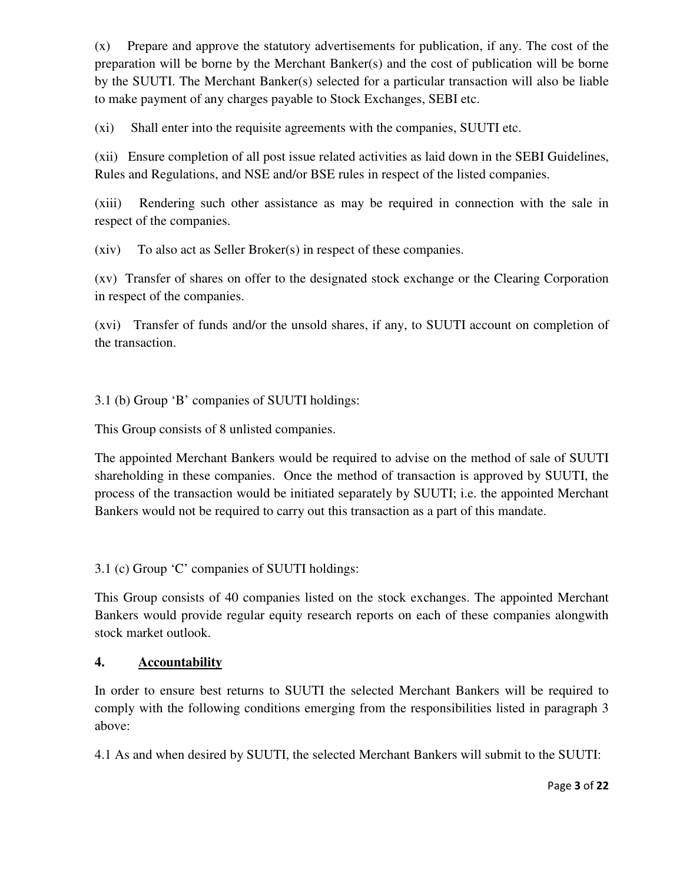(x) Prepare and approve the statutory advertisements for publication, if any. The cost of the preparation will be borne by the Merchant Banker(s) and the cost of publication will be borne by the SUUTI. The Merchant Banker(s) selected for a particular transaction will also be liable to make payment of any charges payable to Stock Exchanges, SEBI etc.

(xi) Shall enter into the requisite agreements with the companies, SUUTI etc.

(xii) Ensure completion of all post issue related activities as laid down in the SEBI Guidelines, Rules and Regulations, and NSE and/or BSE rules in respect of the listed companies.

(xiii) Rendering such other assistance as may be required in connection with the sale in respect of the companies.

(xiv) To also act as Seller Broker(s) in respect of these companies.

(xv) Transfer of shares on offer to the designated stock exchange or the Clearing Corporation in respect of the companies.

(xvi) Transfer of funds and/or the unsold shares, if any, to SUUTI account on completion of the transaction.

3.1 (b) Group 'B' companies of SUUTI holdings:

This Group consists of 8 unlisted companies.

The appointed Merchant Bankers would be required to advise on the method of sale of SUUTI shareholding in these companies. Once the method of transaction is approved by SUUTI, the process of the transaction would be initiated separately by SUUTI; i.e. the appointed Merchant Bankers would not be required to carry out this transaction as a part of this mandate.

3.1 (c) Group 'C' companies of SUUTI holdings:

This Group consists of 40 companies listed on the stock exchanges. The appointed Merchant Bankers would provide regular equity research reports on each of these companies alongwith stock market outlook.

## **4. Accountability**

In order to ensure best returns to SUUTI the selected Merchant Bankers will be required to comply with the following conditions emerging from the responsibilities listed in paragraph 3 above:

4.1 As and when desired by SUUTI, the selected Merchant Bankers will submit to the SUUTI: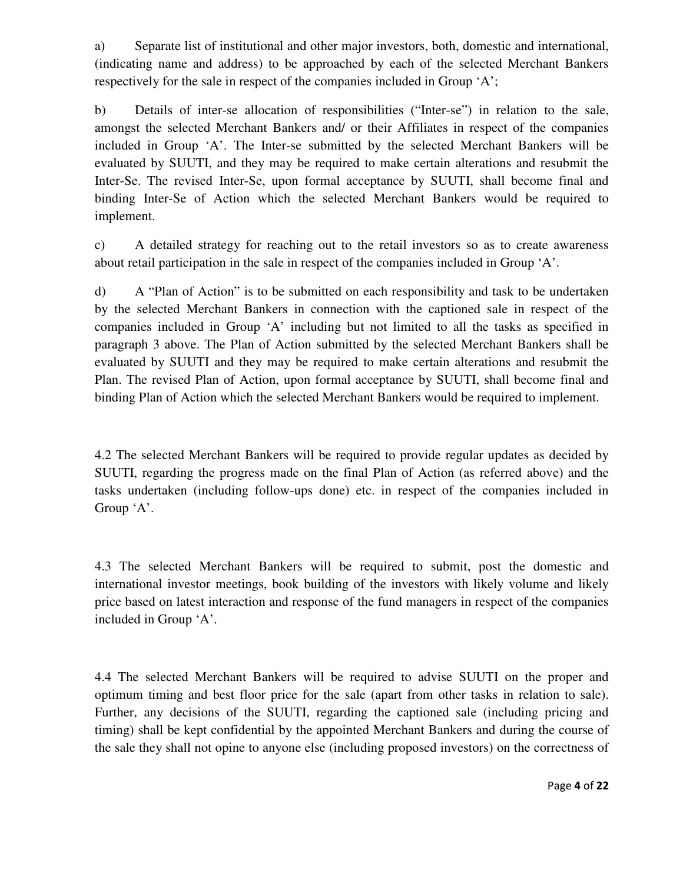a) Separate list of institutional and other major investors, both, domestic and international, (indicating name and address) to be approached by each of the selected Merchant Bankers respectively for the sale in respect of the companies included in Group 'A';

b) Details of inter-se allocation of responsibilities ("Inter-se") in relation to the sale, amongst the selected Merchant Bankers and/ or their Affiliates in respect of the companies included in Group 'A'. The Inter-se submitted by the selected Merchant Bankers will be evaluated by SUUTI, and they may be required to make certain alterations and resubmit the Inter-Se. The revised Inter-Se, upon formal acceptance by SUUTI, shall become final and binding Inter-Se of Action which the selected Merchant Bankers would be required to implement.

c) A detailed strategy for reaching out to the retail investors so as to create awareness about retail participation in the sale in respect of the companies included in Group 'A'.

d) A "Plan of Action" is to be submitted on each responsibility and task to be undertaken by the selected Merchant Bankers in connection with the captioned sale in respect of the companies included in Group 'A' including but not limited to all the tasks as specified in paragraph 3 above. The Plan of Action submitted by the selected Merchant Bankers shall be evaluated by SUUTI and they may be required to make certain alterations and resubmit the Plan. The revised Plan of Action, upon formal acceptance by SUUTI, shall become final and binding Plan of Action which the selected Merchant Bankers would be required to implement.

4.2 The selected Merchant Bankers will be required to provide regular updates as decided by SUUTI, regarding the progress made on the final Plan of Action (as referred above) and the tasks undertaken (including follow-ups done) etc. in respect of the companies included in Group 'A'.

4.3 The selected Merchant Bankers will be required to submit, post the domestic and international investor meetings, book building of the investors with likely volume and likely price based on latest interaction and response of the fund managers in respect of the companies included in Group 'A'.

4.4 The selected Merchant Bankers will be required to advise SUUTI on the proper and optimum timing and best floor price for the sale (apart from other tasks in relation to sale). Further, any decisions of the SUUTI, regarding the captioned sale (including pricing and timing) shall be kept confidential by the appointed Merchant Bankers and during the course of the sale they shall not opine to anyone else (including proposed investors) on the correctness of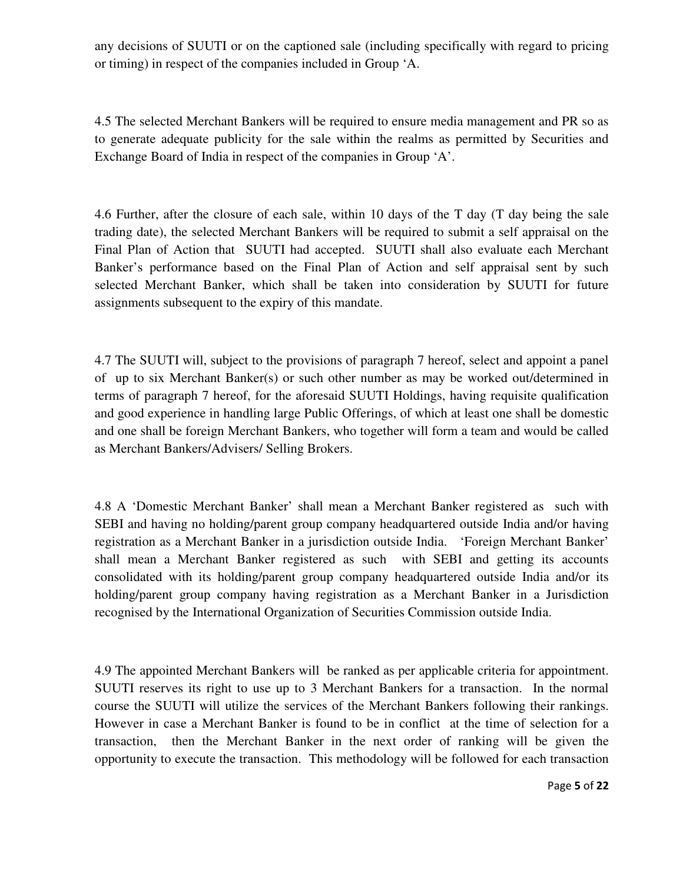any decisions of SUUTI or on the captioned sale (including specifically with regard to pricing or timing) in respect of the companies included in Group 'A.

4.5 The selected Merchant Bankers will be required to ensure media management and PR so as to generate adequate publicity for the sale within the realms as permitted by Securities and Exchange Board of India in respect of the companies in Group 'A'.

4.6 Further, after the closure of each sale, within 10 days of the T day (T day being the sale trading date), the selected Merchant Bankers will be required to submit a self appraisal on the Final Plan of Action that SUUTI had accepted. SUUTI shall also evaluate each Merchant Banker's performance based on the Final Plan of Action and self appraisal sent by such selected Merchant Banker, which shall be taken into consideration by SUUTI for future assignments subsequent to the expiry of this mandate.

4.7 The SUUTI will, subject to the provisions of paragraph 7 hereof, select and appoint a panel of up to six Merchant Banker(s) or such other number as may be worked out/determined in terms of paragraph 7 hereof, for the aforesaid SUUTI Holdings, having requisite qualification and good experience in handling large Public Offerings, of which at least one shall be domestic and one shall be foreign Merchant Bankers, who together will form a team and would be called as Merchant Bankers/Advisers/ Selling Brokers.

4.8 A 'Domestic Merchant Banker' shall mean a Merchant Banker registered as such with SEBI and having no holding/parent group company headquartered outside India and/or having registration as a Merchant Banker in a jurisdiction outside India. 'Foreign Merchant Banker' shall mean a Merchant Banker registered as such with SEBI and getting its accounts consolidated with its holding/parent group company headquartered outside India and/or its holding/parent group company having registration as a Merchant Banker in a Jurisdiction recognised by the International Organization of Securities Commission outside India.

4.9 The appointed Merchant Bankers will be ranked as per applicable criteria for appointment. SUUTI reserves its right to use up to 3 Merchant Bankers for a transaction. In the normal course the SUUTI will utilize the services of the Merchant Bankers following their rankings. However in case a Merchant Banker is found to be in conflict at the time of selection for a transaction, then the Merchant Banker in the next order of ranking will be given the opportunity to execute the transaction. This methodology will be followed for each transaction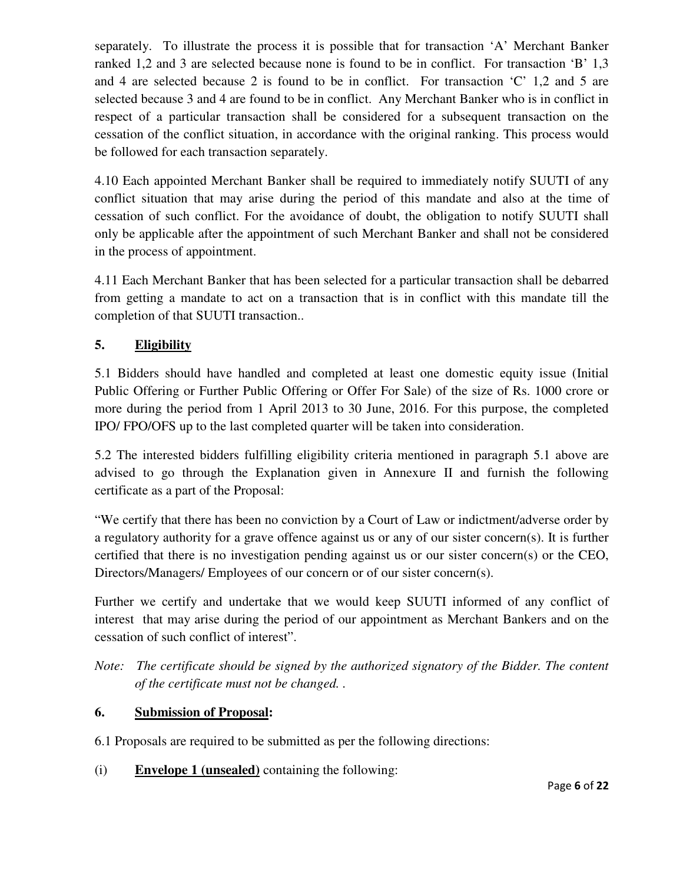separately. To illustrate the process it is possible that for transaction 'A' Merchant Banker ranked 1,2 and 3 are selected because none is found to be in conflict. For transaction 'B' 1,3 and 4 are selected because 2 is found to be in conflict. For transaction 'C' 1,2 and 5 are selected because 3 and 4 are found to be in conflict. Any Merchant Banker who is in conflict in respect of a particular transaction shall be considered for a subsequent transaction on the cessation of the conflict situation, in accordance with the original ranking. This process would be followed for each transaction separately.

4.10 Each appointed Merchant Banker shall be required to immediately notify SUUTI of any conflict situation that may arise during the period of this mandate and also at the time of cessation of such conflict. For the avoidance of doubt, the obligation to notify SUUTI shall only be applicable after the appointment of such Merchant Banker and shall not be considered in the process of appointment.

4.11 Each Merchant Banker that has been selected for a particular transaction shall be debarred from getting a mandate to act on a transaction that is in conflict with this mandate till the completion of that SUUTI transaction..

## **5. Eligibility**

5.1 Bidders should have handled and completed at least one domestic equity issue (Initial Public Offering or Further Public Offering or Offer For Sale) of the size of Rs. 1000 crore or more during the period from 1 April 2013 to 30 June, 2016. For this purpose, the completed IPO/ FPO/OFS up to the last completed quarter will be taken into consideration.

5.2 The interested bidders fulfilling eligibility criteria mentioned in paragraph 5.1 above are advised to go through the Explanation given in Annexure II and furnish the following certificate as a part of the Proposal:

"We certify that there has been no conviction by a Court of Law or indictment/adverse order by a regulatory authority for a grave offence against us or any of our sister concern(s). It is further certified that there is no investigation pending against us or our sister concern(s) or the CEO, Directors/Managers/ Employees of our concern or of our sister concern(s).

Further we certify and undertake that we would keep SUUTI informed of any conflict of interest that may arise during the period of our appointment as Merchant Bankers and on the cessation of such conflict of interest".

*Note: The certificate should be signed by the authorized signatory of the Bidder. The content of the certificate must not be changed. .* 

# **6. Submission of Proposal:**

6.1 Proposals are required to be submitted as per the following directions:

(i) **Envelope 1 (unsealed)** containing the following: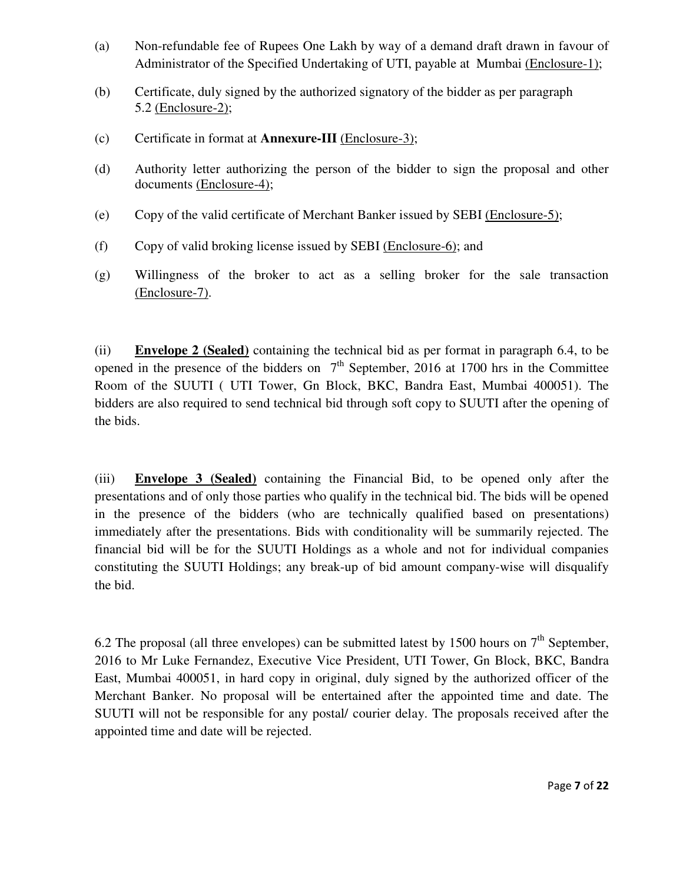- (a) Non-refundable fee of Rupees One Lakh by way of a demand draft drawn in favour of Administrator of the Specified Undertaking of UTI, payable at Mumbai (Enclosure-1);
- (b) Certificate, duly signed by the authorized signatory of the bidder as per paragraph 5.2 (Enclosure-2);
- (c) Certificate in format at **Annexure-III** (Enclosure-3);
- (d) Authority letter authorizing the person of the bidder to sign the proposal and other documents (Enclosure-4);
- (e) Copy of the valid certificate of Merchant Banker issued by SEBI (Enclosure-5);
- (f) Copy of valid broking license issued by SEBI (Enclosure-6); and
- (g) Willingness of the broker to act as a selling broker for the sale transaction (Enclosure-7).

(ii) **Envelope 2 (Sealed)** containing the technical bid as per format in paragraph 6.4, to be opened in the presence of the bidders on  $7<sup>th</sup>$  September, 2016 at 1700 hrs in the Committee Room of the SUUTI ( UTI Tower, Gn Block, BKC, Bandra East, Mumbai 400051). The bidders are also required to send technical bid through soft copy to SUUTI after the opening of the bids.

(iii) **Envelope 3 (Sealed)** containing the Financial Bid, to be opened only after the presentations and of only those parties who qualify in the technical bid. The bids will be opened in the presence of the bidders (who are technically qualified based on presentations) immediately after the presentations. Bids with conditionality will be summarily rejected. The financial bid will be for the SUUTI Holdings as a whole and not for individual companies constituting the SUUTI Holdings; any break-up of bid amount company-wise will disqualify the bid.

6.2 The proposal (all three envelopes) can be submitted latest by 1500 hours on  $7<sup>th</sup>$  September, 2016 to Mr Luke Fernandez, Executive Vice President, UTI Tower, Gn Block, BKC, Bandra East, Mumbai 400051, in hard copy in original, duly signed by the authorized officer of the Merchant Banker. No proposal will be entertained after the appointed time and date. The SUUTI will not be responsible for any postal/ courier delay. The proposals received after the appointed time and date will be rejected.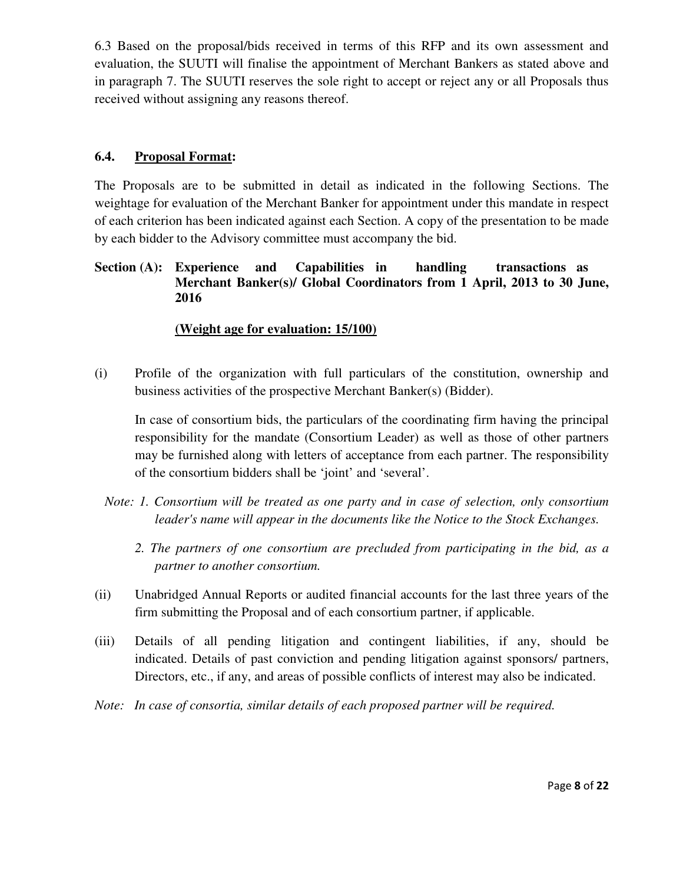6.3 Based on the proposal/bids received in terms of this RFP and its own assessment and evaluation, the SUUTI will finalise the appointment of Merchant Bankers as stated above and in paragraph 7. The SUUTI reserves the sole right to accept or reject any or all Proposals thus received without assigning any reasons thereof.

## **6.4. Proposal Format:**

The Proposals are to be submitted in detail as indicated in the following Sections. The weightage for evaluation of the Merchant Banker for appointment under this mandate in respect of each criterion has been indicated against each Section. A copy of the presentation to be made by each bidder to the Advisory committee must accompany the bid.

## **Section (A): Experience and Capabilities in handling transactions as Merchant Banker(s)/ Global Coordinators from 1 April, 2013 to 30 June, 2016**

## **(Weight age for evaluation: 15/100)**

(i) Profile of the organization with full particulars of the constitution, ownership and business activities of the prospective Merchant Banker(s) (Bidder).

In case of consortium bids, the particulars of the coordinating firm having the principal responsibility for the mandate (Consortium Leader) as well as those of other partners may be furnished along with letters of acceptance from each partner. The responsibility of the consortium bidders shall be 'joint' and 'several'.

- *Note: 1. Consortium will be treated as one party and in case of selection, only consortium leader's name will appear in the documents like the Notice to the Stock Exchanges.* 
	- *2. The partners of one consortium are precluded from participating in the bid, as a partner to another consortium.*
- (ii) Unabridged Annual Reports or audited financial accounts for the last three years of the firm submitting the Proposal and of each consortium partner, if applicable.
- (iii) Details of all pending litigation and contingent liabilities, if any, should be indicated. Details of past conviction and pending litigation against sponsors/ partners, Directors, etc., if any, and areas of possible conflicts of interest may also be indicated.
- *Note: In case of consortia, similar details of each proposed partner will be required.*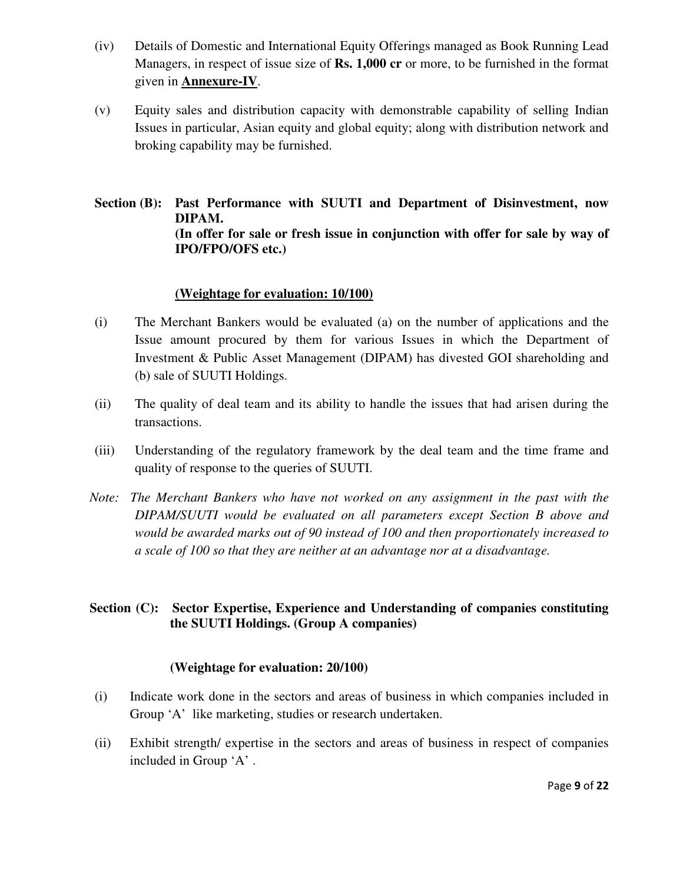- (iv) Details of Domestic and International Equity Offerings managed as Book Running Lead Managers, in respect of issue size of **Rs. 1,000 cr** or more, to be furnished in the format given in **Annexure-IV**.
- (v) Equity sales and distribution capacity with demonstrable capability of selling Indian Issues in particular, Asian equity and global equity; along with distribution network and broking capability may be furnished.

**Section (B): Past Performance with SUUTI and Department of Disinvestment, now DIPAM. (In offer for sale or fresh issue in conjunction with offer for sale by way of IPO/FPO/OFS etc.)** 

#### **(Weightage for evaluation: 10/100)**

- (i) The Merchant Bankers would be evaluated (a) on the number of applications and the Issue amount procured by them for various Issues in which the Department of Investment & Public Asset Management (DIPAM) has divested GOI shareholding and (b) sale of SUUTI Holdings.
- (ii) The quality of deal team and its ability to handle the issues that had arisen during the transactions.
- (iii) Understanding of the regulatory framework by the deal team and the time frame and quality of response to the queries of SUUTI.
- *Note: The Merchant Bankers who have not worked on any assignment in the past with the DIPAM/SUUTI would be evaluated on all parameters except Section B above and would be awarded marks out of 90 instead of 100 and then proportionately increased to a scale of 100 so that they are neither at an advantage nor at a disadvantage.*

## **Section (C): Sector Expertise, Experience and Understanding of companies constituting the SUUTI Holdings. (Group A companies)**

#### **(Weightage for evaluation: 20/100)**

- (i) Indicate work done in the sectors and areas of business in which companies included in Group 'A' like marketing, studies or research undertaken.
- (ii) Exhibit strength/ expertise in the sectors and areas of business in respect of companies included in Group 'A' .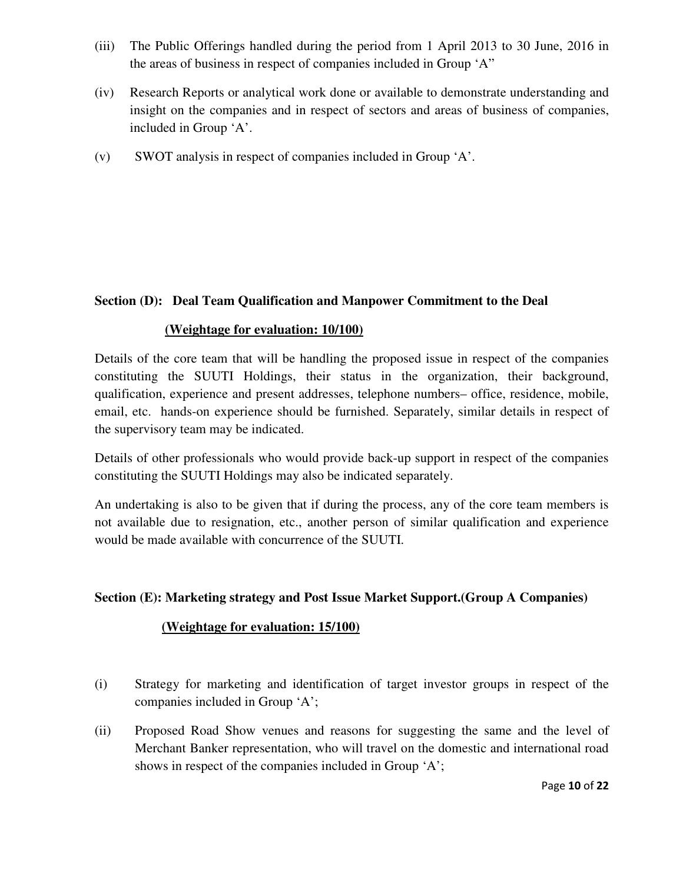- (iii) The Public Offerings handled during the period from 1 April 2013 to 30 June, 2016 in the areas of business in respect of companies included in Group 'A"
- (iv) Research Reports or analytical work done or available to demonstrate understanding and insight on the companies and in respect of sectors and areas of business of companies, included in Group 'A'.
- (v) SWOT analysis in respect of companies included in Group 'A'.

### **Section (D): Deal Team Qualification and Manpower Commitment to the Deal**

#### **(Weightage for evaluation: 10/100)**

Details of the core team that will be handling the proposed issue in respect of the companies constituting the SUUTI Holdings, their status in the organization, their background, qualification, experience and present addresses, telephone numbers– office, residence, mobile, email, etc. hands-on experience should be furnished. Separately, similar details in respect of the supervisory team may be indicated.

Details of other professionals who would provide back-up support in respect of the companies constituting the SUUTI Holdings may also be indicated separately.

An undertaking is also to be given that if during the process, any of the core team members is not available due to resignation, etc., another person of similar qualification and experience would be made available with concurrence of the SUUTI.

#### **Section (E): Marketing strategy and Post Issue Market Support.(Group A Companies)**

#### **(Weightage for evaluation: 15/100)**

- (i) Strategy for marketing and identification of target investor groups in respect of the companies included in Group 'A';
- (ii) Proposed Road Show venues and reasons for suggesting the same and the level of Merchant Banker representation, who will travel on the domestic and international road shows in respect of the companies included in Group 'A';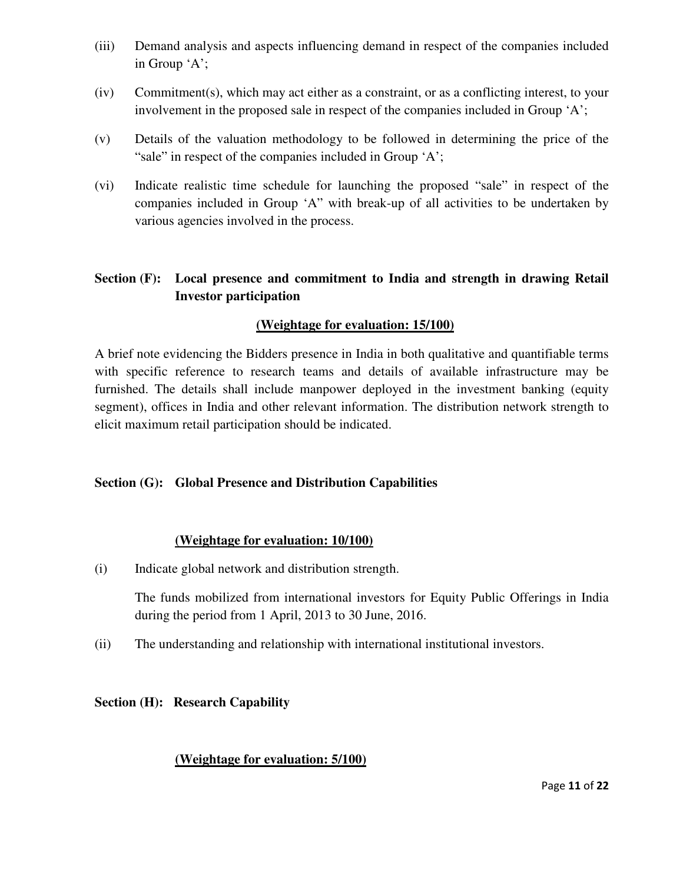- (iii) Demand analysis and aspects influencing demand in respect of the companies included in Group 'A';
- (iv) Commitment(s), which may act either as a constraint, or as a conflicting interest, to your involvement in the proposed sale in respect of the companies included in Group 'A';
- (v) Details of the valuation methodology to be followed in determining the price of the "sale" in respect of the companies included in Group 'A';
- (vi) Indicate realistic time schedule for launching the proposed "sale" in respect of the companies included in Group 'A" with break-up of all activities to be undertaken by various agencies involved in the process.

## **Section (F): Local presence and commitment to India and strength in drawing Retail Investor participation**

## **(Weightage for evaluation: 15/100)**

A brief note evidencing the Bidders presence in India in both qualitative and quantifiable terms with specific reference to research teams and details of available infrastructure may be furnished. The details shall include manpower deployed in the investment banking (equity segment), offices in India and other relevant information. The distribution network strength to elicit maximum retail participation should be indicated.

## **Section (G): Global Presence and Distribution Capabilities**

#### **(Weightage for evaluation: 10/100)**

(i) Indicate global network and distribution strength.

The funds mobilized from international investors for Equity Public Offerings in India during the period from 1 April, 2013 to 30 June, 2016.

(ii) The understanding and relationship with international institutional investors.

## **Section (H): Research Capability**

#### **(Weightage for evaluation: 5/100)**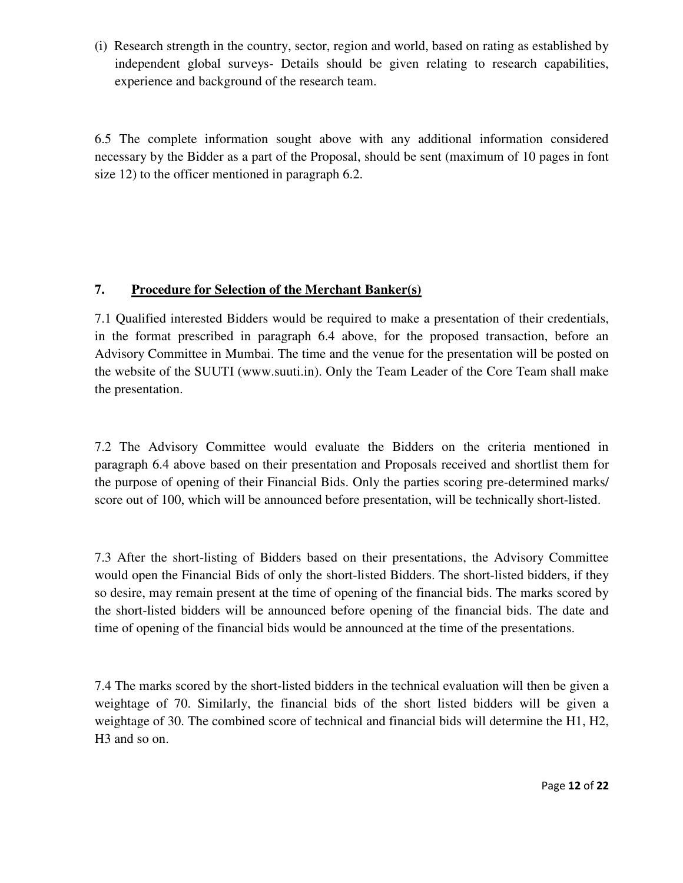(i) Research strength in the country, sector, region and world, based on rating as established by independent global surveys- Details should be given relating to research capabilities, experience and background of the research team.

6.5 The complete information sought above with any additional information considered necessary by the Bidder as a part of the Proposal, should be sent (maximum of 10 pages in font size 12) to the officer mentioned in paragraph 6.2.

# **7. Procedure for Selection of the Merchant Banker(s)**

7.1 Qualified interested Bidders would be required to make a presentation of their credentials, in the format prescribed in paragraph 6.4 above, for the proposed transaction, before an Advisory Committee in Mumbai. The time and the venue for the presentation will be posted on the website of the SUUTI (www.suuti.in). Only the Team Leader of the Core Team shall make the presentation.

7.2 The Advisory Committee would evaluate the Bidders on the criteria mentioned in paragraph 6.4 above based on their presentation and Proposals received and shortlist them for the purpose of opening of their Financial Bids. Only the parties scoring pre-determined marks/ score out of 100, which will be announced before presentation, will be technically short-listed.

7.3 After the short-listing of Bidders based on their presentations, the Advisory Committee would open the Financial Bids of only the short-listed Bidders. The short-listed bidders, if they so desire, may remain present at the time of opening of the financial bids. The marks scored by the short-listed bidders will be announced before opening of the financial bids. The date and time of opening of the financial bids would be announced at the time of the presentations.

7.4 The marks scored by the short-listed bidders in the technical evaluation will then be given a weightage of 70. Similarly, the financial bids of the short listed bidders will be given a weightage of 30. The combined score of technical and financial bids will determine the H1, H2, H3 and so on.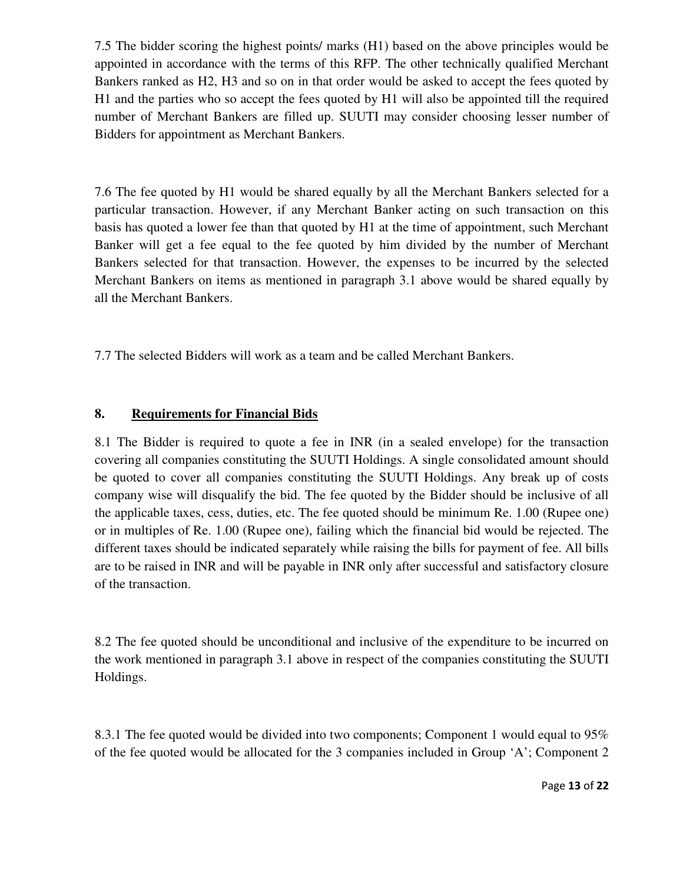7.5 The bidder scoring the highest points/ marks (H1) based on the above principles would be appointed in accordance with the terms of this RFP. The other technically qualified Merchant Bankers ranked as H2, H3 and so on in that order would be asked to accept the fees quoted by H1 and the parties who so accept the fees quoted by H1 will also be appointed till the required number of Merchant Bankers are filled up. SUUTI may consider choosing lesser number of Bidders for appointment as Merchant Bankers.

7.6 The fee quoted by H1 would be shared equally by all the Merchant Bankers selected for a particular transaction. However, if any Merchant Banker acting on such transaction on this basis has quoted a lower fee than that quoted by H1 at the time of appointment, such Merchant Banker will get a fee equal to the fee quoted by him divided by the number of Merchant Bankers selected for that transaction. However, the expenses to be incurred by the selected Merchant Bankers on items as mentioned in paragraph 3.1 above would be shared equally by all the Merchant Bankers.

7.7 The selected Bidders will work as a team and be called Merchant Bankers.

## **8. Requirements for Financial Bids**

8.1 The Bidder is required to quote a fee in INR (in a sealed envelope) for the transaction covering all companies constituting the SUUTI Holdings. A single consolidated amount should be quoted to cover all companies constituting the SUUTI Holdings. Any break up of costs company wise will disqualify the bid. The fee quoted by the Bidder should be inclusive of all the applicable taxes, cess, duties, etc. The fee quoted should be minimum Re. 1.00 (Rupee one) or in multiples of Re. 1.00 (Rupee one), failing which the financial bid would be rejected. The different taxes should be indicated separately while raising the bills for payment of fee. All bills are to be raised in INR and will be payable in INR only after successful and satisfactory closure of the transaction.

8.2 The fee quoted should be unconditional and inclusive of the expenditure to be incurred on the work mentioned in paragraph 3.1 above in respect of the companies constituting the SUUTI Holdings.

8.3.1 The fee quoted would be divided into two components; Component 1 would equal to 95% of the fee quoted would be allocated for the 3 companies included in Group 'A'; Component 2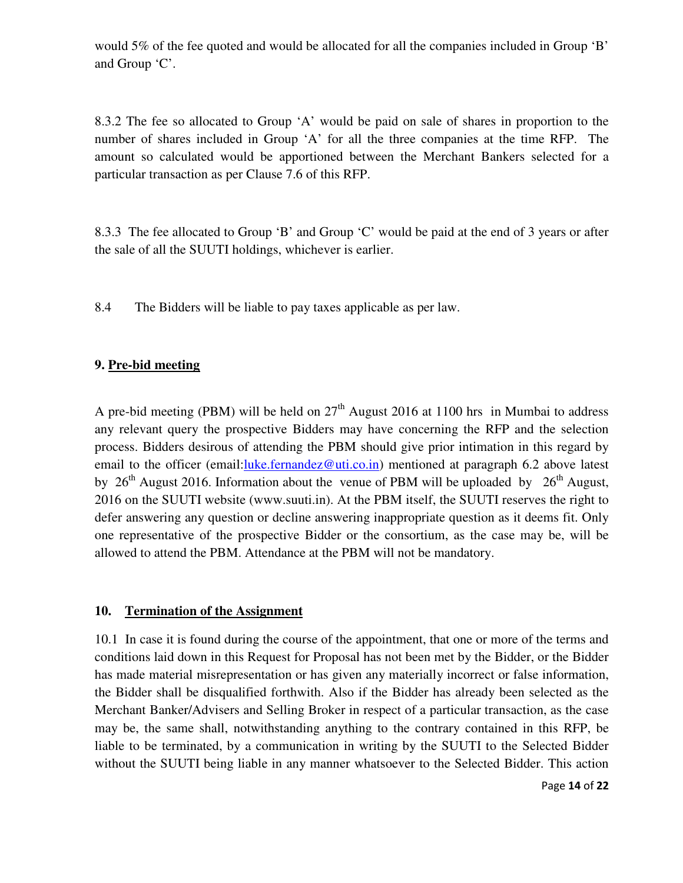would 5% of the fee quoted and would be allocated for all the companies included in Group 'B' and Group 'C'.

8.3.2 The fee so allocated to Group 'A' would be paid on sale of shares in proportion to the number of shares included in Group 'A' for all the three companies at the time RFP. The amount so calculated would be apportioned between the Merchant Bankers selected for a particular transaction as per Clause 7.6 of this RFP.

8.3.3 The fee allocated to Group 'B' and Group 'C' would be paid at the end of 3 years or after the sale of all the SUUTI holdings, whichever is earlier.

8.4 The Bidders will be liable to pay taxes applicable as per law.

### **9. Pre-bid meeting**

A pre-bid meeting (PBM) will be held on  $27<sup>th</sup>$  August 2016 at 1100 hrs in Mumbai to address any relevant query the prospective Bidders may have concerning the RFP and the selection process. Bidders desirous of attending the PBM should give prior intimation in this regard by email to the officer (email:luke.fernandez@uti.co.in) mentioned at paragraph 6.2 above latest by 26<sup>th</sup> August 2016. Information about the venue of PBM will be uploaded by 26<sup>th</sup> August, 2016 on the SUUTI website (www.suuti.in). At the PBM itself, the SUUTI reserves the right to defer answering any question or decline answering inappropriate question as it deems fit. Only one representative of the prospective Bidder or the consortium, as the case may be, will be allowed to attend the PBM. Attendance at the PBM will not be mandatory.

#### **10. Termination of the Assignment**

10.1 In case it is found during the course of the appointment, that one or more of the terms and conditions laid down in this Request for Proposal has not been met by the Bidder, or the Bidder has made material misrepresentation or has given any materially incorrect or false information, the Bidder shall be disqualified forthwith. Also if the Bidder has already been selected as the Merchant Banker/Advisers and Selling Broker in respect of a particular transaction, as the case may be, the same shall, notwithstanding anything to the contrary contained in this RFP, be liable to be terminated, by a communication in writing by the SUUTI to the Selected Bidder without the SUUTI being liable in any manner whatsoever to the Selected Bidder. This action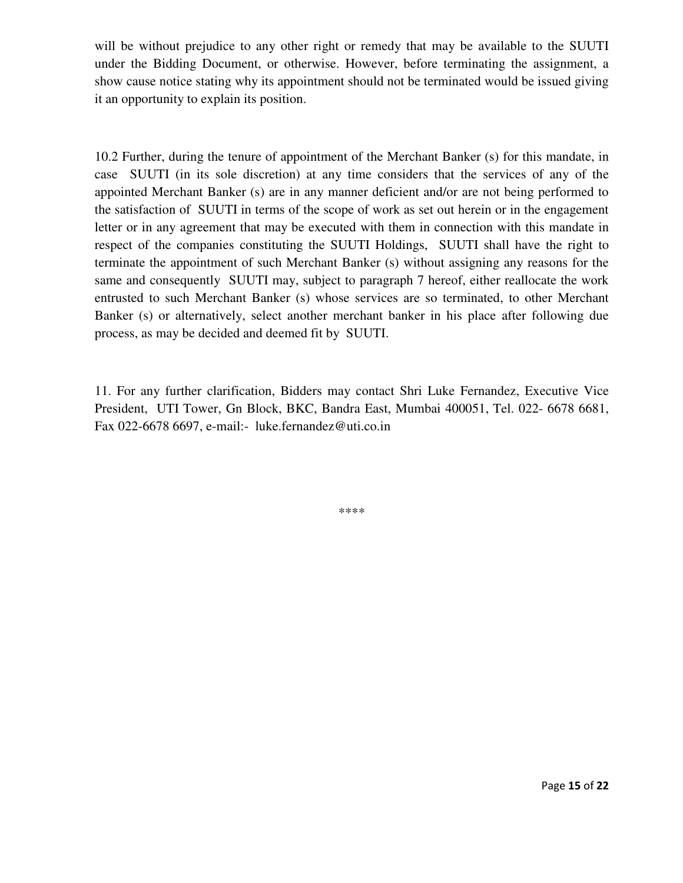will be without prejudice to any other right or remedy that may be available to the SUUTI under the Bidding Document, or otherwise. However, before terminating the assignment, a show cause notice stating why its appointment should not be terminated would be issued giving it an opportunity to explain its position.

10.2 Further, during the tenure of appointment of the Merchant Banker (s) for this mandate, in case SUUTI (in its sole discretion) at any time considers that the services of any of the appointed Merchant Banker (s) are in any manner deficient and/or are not being performed to the satisfaction of SUUTI in terms of the scope of work as set out herein or in the engagement letter or in any agreement that may be executed with them in connection with this mandate in respect of the companies constituting the SUUTI Holdings, SUUTI shall have the right to terminate the appointment of such Merchant Banker (s) without assigning any reasons for the same and consequently SUUTI may, subject to paragraph 7 hereof, either reallocate the work entrusted to such Merchant Banker (s) whose services are so terminated, to other Merchant Banker (s) or alternatively, select another merchant banker in his place after following due process, as may be decided and deemed fit by SUUTI.

11. For any further clarification, Bidders may contact Shri Luke Fernandez, Executive Vice President, UTI Tower, Gn Block, BKC, Bandra East, Mumbai 400051, Tel. 022- 6678 6681, Fax 022-6678 6697, e-mail:- luke.fernandez@uti.co.in

\*\*\*\*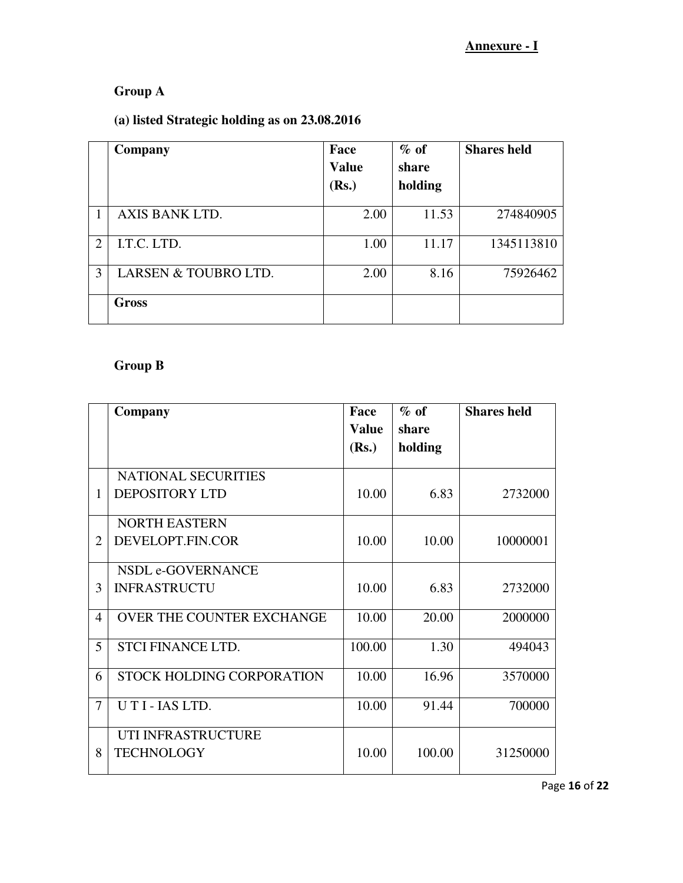# **Group A**

# **(a) listed Strategic holding as on 23.08.2016**

|                             | Company              | Face<br><b>Value</b><br>(Rs.) | $\%$ of<br>share<br>holding | <b>Shares held</b> |
|-----------------------------|----------------------|-------------------------------|-----------------------------|--------------------|
|                             | AXIS BANK LTD.       | 2.00                          | 11.53                       | 274840905          |
| $\mathcal{D}_{\mathcal{L}}$ | I.T.C. LTD.          | 1.00                          | 11.17                       | 1345113810         |
| 3                           | LARSEN & TOUBRO LTD. | 2.00                          | 8.16                        | 75926462           |
|                             | <b>Gross</b>         |                               |                             |                    |

# **Group B**

|                       | Company                          | Face         | $\%$ of | <b>Shares held</b> |
|-----------------------|----------------------------------|--------------|---------|--------------------|
|                       |                                  | <b>Value</b> | share   |                    |
|                       |                                  | (Rs.)        | holding |                    |
|                       | <b>NATIONAL SECURITIES</b>       |              |         |                    |
| 1                     | <b>DEPOSITORY LTD</b>            | 10.00        | 6.83    | 2732000            |
|                       | <b>NORTH EASTERN</b>             |              |         |                    |
| $\mathcal{D}_{\cdot}$ | DEVELOPT.FIN.COR                 | 10.00        | 10.00   | 10000001           |
|                       | NSDL e-GOVERNANCE                |              |         |                    |
| $\mathcal{F}$         | <b>INFRASTRUCTU</b>              | 10.00        | 6.83    | 2732000            |
| $\overline{4}$        | OVER THE COUNTER EXCHANGE        | 10.00        | 20.00   | 2000000            |
| 5                     | <b>STCI FINANCE LTD.</b>         | 100.00       | 1.30    | 494043             |
| 6                     | <b>STOCK HOLDING CORPORATION</b> | 10.00        | 16.96   | 3570000            |
| 7                     | UTI-IAS LTD.                     | 10.00        | 91.44   | 700000             |
|                       | UTI INFRASTRUCTURE               |              |         |                    |
| 8                     | <b>TECHNOLOGY</b>                | 10.00        | 100.00  | 31250000           |

Page 16 of 22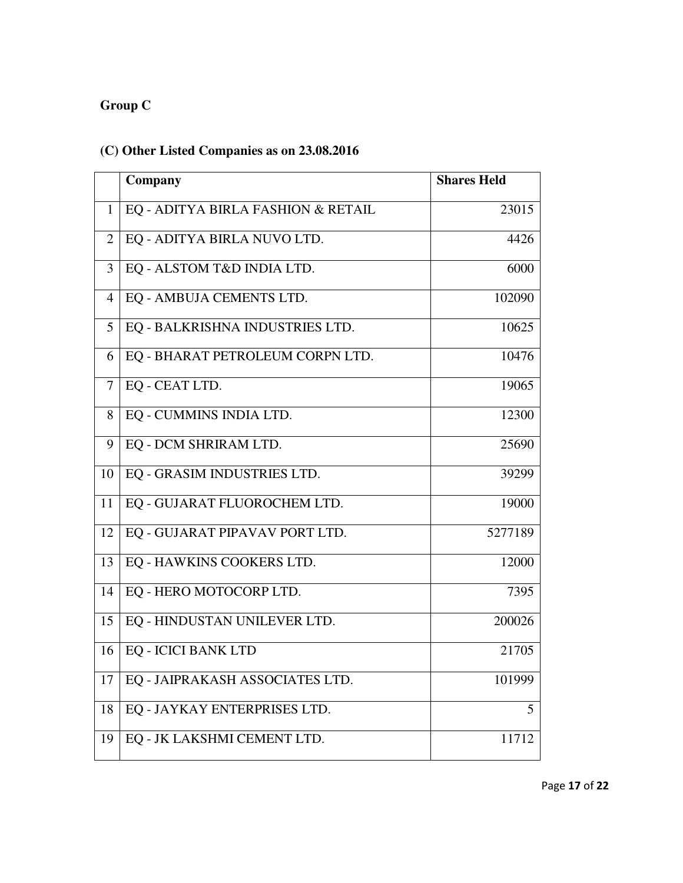# **Group C**

# **(C) Other Listed Companies as on 23.08.2016**

|                | Company                            | <b>Shares Held</b> |
|----------------|------------------------------------|--------------------|
| $\mathbf{1}$   | EQ - ADITYA BIRLA FASHION & RETAIL | 23015              |
| $\overline{2}$ | EQ - ADITYA BIRLA NUVO LTD.        | 4426               |
| 3              | EQ - ALSTOM T&D INDIA LTD.         | 6000               |
| $\overline{4}$ | EQ - AMBUJA CEMENTS LTD.           | 102090             |
| 5              | EQ - BALKRISHNA INDUSTRIES LTD.    | 10625              |
| 6              | EQ - BHARAT PETROLEUM CORPN LTD.   | 10476              |
| 7              | EQ - CEAT LTD.                     | 19065              |
| 8              | EQ - CUMMINS INDIA LTD.            | 12300              |
| 9              | EQ - DCM SHRIRAM LTD.              | 25690              |
| 10             | EQ - GRASIM INDUSTRIES LTD.        | 39299              |
| 11             | EQ - GUJARAT FLUOROCHEM LTD.       | 19000              |
| 12             | EQ - GUJARAT PIPAVAV PORT LTD.     | 5277189            |
| 13             | EQ - HAWKINS COOKERS LTD.          | 12000              |
| 14             | EQ - HERO MOTOCORP LTD.            | 7395               |
| 15             | EQ - HINDUSTAN UNILEVER LTD.       | 200026             |
| 16             | <b>EQ - ICICI BANK LTD</b>         | 21705              |
| 17             | EQ - JAIPRAKASH ASSOCIATES LTD.    | 101999             |
| 18             | EQ - JAYKAY ENTERPRISES LTD.       | 5                  |
| 19             | EQ - JK LAKSHMI CEMENT LTD.        | 11712              |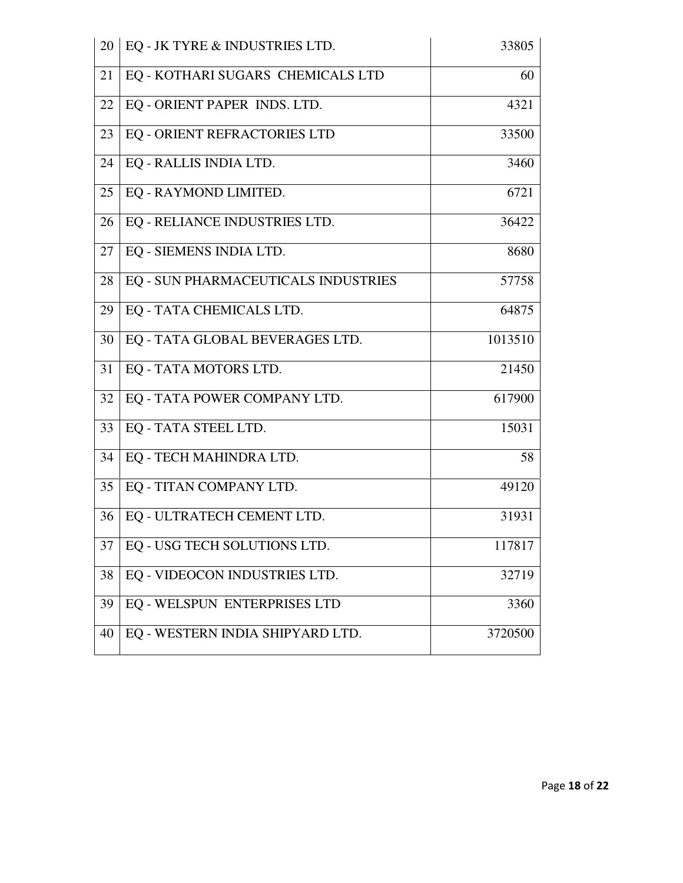| 20 | EQ - JK TYRE & INDUSTRIES LTD.      | 33805   |
|----|-------------------------------------|---------|
| 21 | EQ - KOTHARI SUGARS CHEMICALS LTD   | 60      |
| 22 | EQ - ORIENT PAPER INDS. LTD.        | 4321    |
| 23 | EQ - ORIENT REFRACTORIES LTD        | 33500   |
| 24 | EQ - RALLIS INDIA LTD.              | 3460    |
| 25 | EQ - RAYMOND LIMITED.               | 6721    |
| 26 | EQ - RELIANCE INDUSTRIES LTD.       | 36422   |
| 27 | EQ - SIEMENS INDIA LTD.             | 8680    |
| 28 | EQ - SUN PHARMACEUTICALS INDUSTRIES | 57758   |
| 29 | EQ - TATA CHEMICALS LTD.            | 64875   |
| 30 | EQ - TATA GLOBAL BEVERAGES LTD.     | 1013510 |
| 31 | EQ - TATA MOTORS LTD.               | 21450   |
| 32 | EQ - TATA POWER COMPANY LTD.        | 617900  |
| 33 | EQ - TATA STEEL LTD.                | 15031   |
| 34 | EQ - TECH MAHINDRA LTD.             | 58      |
| 35 | EQ - TITAN COMPANY LTD.             | 49120   |
| 36 | EQ - ULTRATECH CEMENT LTD.          | 31931   |
| 37 | EQ - USG TECH SOLUTIONS LTD.        | 117817  |
| 38 | EQ - VIDEOCON INDUSTRIES LTD.       | 32719   |
| 39 | EQ - WELSPUN ENTERPRISES LTD        | 3360    |
| 40 | EQ - WESTERN INDIA SHIPYARD LTD.    | 3720500 |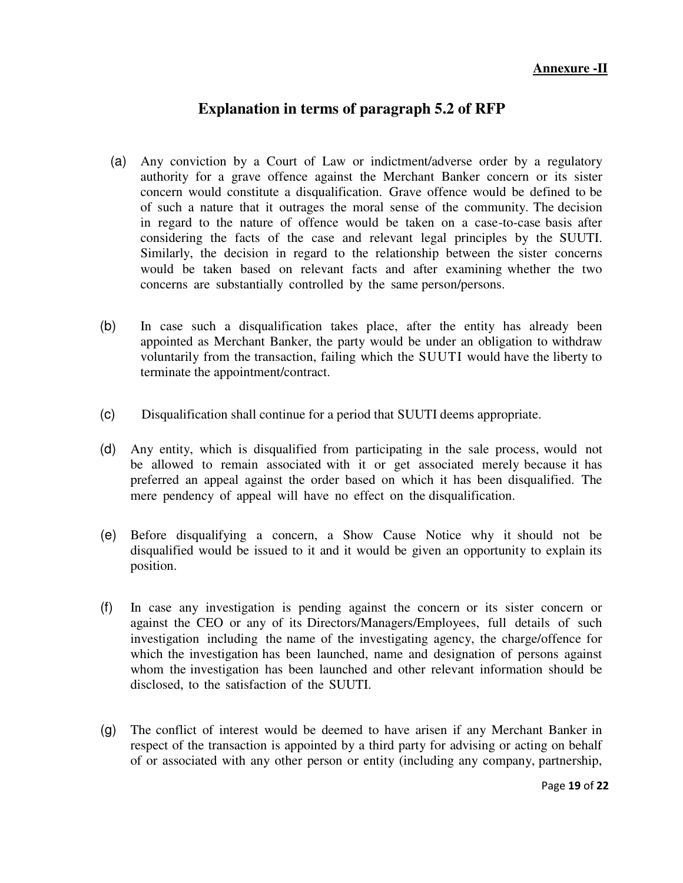#### **Annexure -II**

## **Explanation in terms of paragraph 5.2 of RFP**

- (a) Any conviction by a Court of Law or indictment/adverse order by a regulatory authority for a grave offence against the Merchant Banker concern or its sister concern would constitute a disqualification. Grave offence would be defined to be of such a nature that it outrages the moral sense of the community. The decision in regard to the nature of offence would be taken on a case-to-case basis after considering the facts of the case and relevant legal principles by the SUUTI. Similarly, the decision in regard to the relationship between the sister concerns would be taken based on relevant facts and after examining whether the two concerns are substantially controlled by the same person/persons.
- (b) In case such a disqualification takes place, after the entity has already been appointed as Merchant Banker, the party would be under an obligation to withdraw voluntarily from the transaction, failing which the SUUTI would have the liberty to terminate the appointment/contract.
- (c) Disqualification shall continue for a period that SUUTI deems appropriate.
- (d) Any entity, which is disqualified from participating in the sale process, would not be allowed to remain associated with it or get associated merely because it has preferred an appeal against the order based on which it has been disqualified. The mere pendency of appeal will have no effect on the disqualification.
- (e) Before disqualifying a concern, a Show Cause Notice why it should not be disqualified would be issued to it and it would be given an opportunity to explain its position.
- (f) In case any investigation is pending against the concern or its sister concern or against the CEO or any of its Directors/Managers/Employees, full details of such investigation including the name of the investigating agency, the charge/offence for which the investigation has been launched, name and designation of persons against whom the investigation has been launched and other relevant information should be disclosed, to the satisfaction of the SUUTI.
- (g) The conflict of interest would be deemed to have arisen if any Merchant Banker in respect of the transaction is appointed by a third party for advising or acting on behalf of or associated with any other person or entity (including any company, partnership,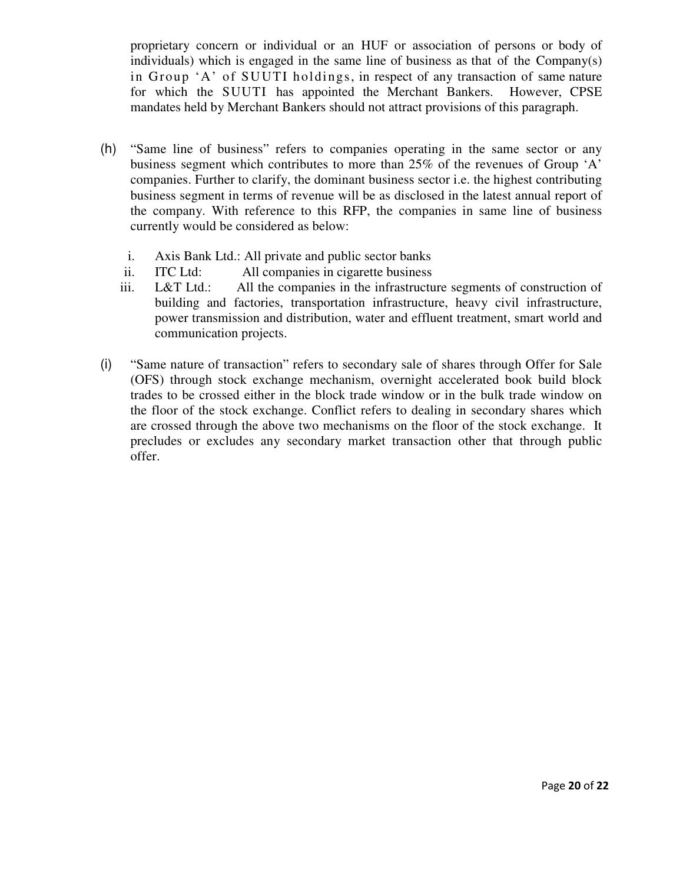proprietary concern or individual or an HUF or association of persons or body of individuals) which is engaged in the same line of business as that of the Company(s) in Group 'A' of SUUTI holdings, in respect of any transaction of same nature for which the SUUTI has appointed the Merchant Bankers. However, CPSE mandates held by Merchant Bankers should not attract provisions of this paragraph.

- (h) "Same line of business" refers to companies operating in the same sector or any business segment which contributes to more than 25% of the revenues of Group 'A' companies. Further to clarify, the dominant business sector i.e. the highest contributing business segment in terms of revenue will be as disclosed in the latest annual report of the company. With reference to this RFP, the companies in same line of business currently would be considered as below:
	- i. Axis Bank Ltd.: All private and public sector banks
	- ii. ITC Ltd: All companies in cigarette business
	- iii. L&T Ltd.: All the companies in the infrastructure segments of construction of building and factories, transportation infrastructure, heavy civil infrastructure, power transmission and distribution, water and effluent treatment, smart world and communication projects.
- (i) "Same nature of transaction" refers to secondary sale of shares through Offer for Sale (OFS) through stock exchange mechanism, overnight accelerated book build block trades to be crossed either in the block trade window or in the bulk trade window on the floor of the stock exchange. Conflict refers to dealing in secondary shares which are crossed through the above two mechanisms on the floor of the stock exchange. It precludes or excludes any secondary market transaction other that through public offer.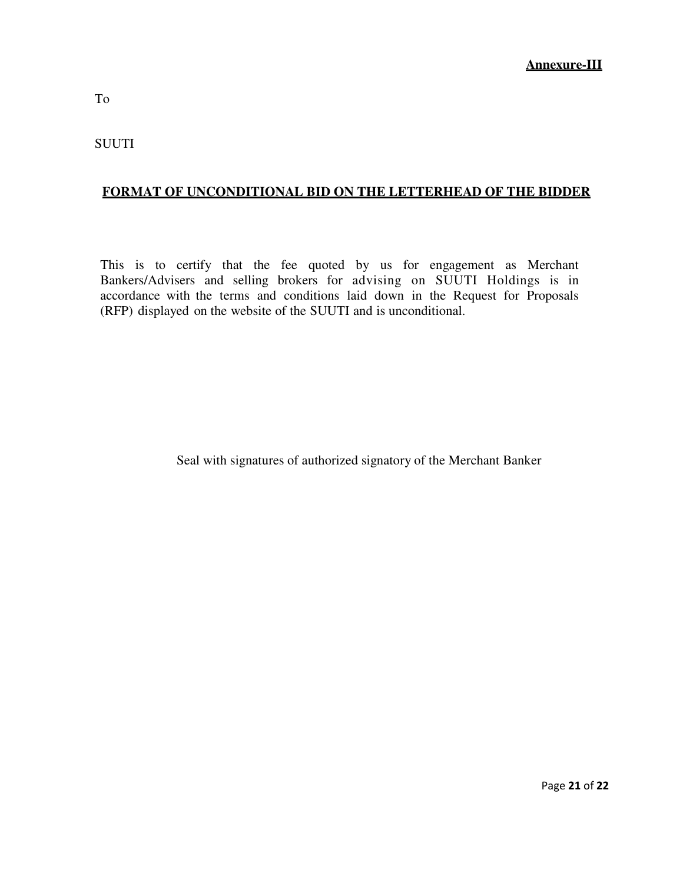# **FORMAT OF UNCONDITIONAL BID ON THE LETTERHEAD OF THE BIDDER**

This is to certify that the fee quoted by us for engagement as Merchant Bankers/Advisers and selling brokers for advising on SUUTI Holdings is in accordance with the terms and conditions laid down in the Request for Proposals (RFP) displayed on the website of the SUUTI and is unconditional.

Seal with signatures of authorized signatory of the Merchant Banker